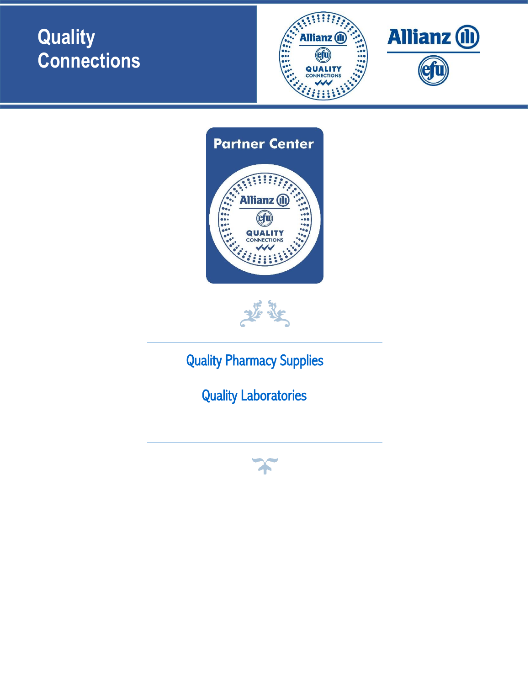





[Quality Pharmacy Supplies](#page-1-0) 2

[Quality Laboratories](#page-2-0)

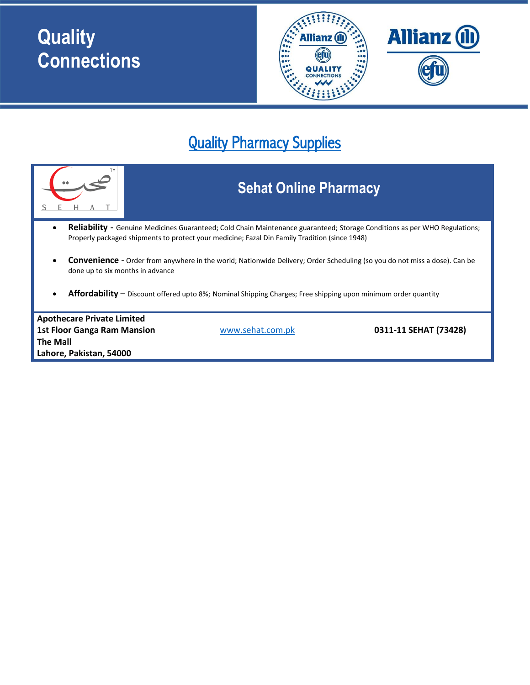

#### <span id="page-1-0"></span>Quality Pharmacy Supplies

|                                                                                                                                                                                                                                   |  | <b>Sehat Online Pharmacy</b> |  |  |
|-----------------------------------------------------------------------------------------------------------------------------------------------------------------------------------------------------------------------------------|--|------------------------------|--|--|
| <b>Reliability</b> - Genuine Medicines Guaranteed; Cold Chain Maintenance guaranteed; Storage Conditions as per WHO Regulations;<br>Properly packaged shipments to protect your medicine; Fazal Din Family Tradition (since 1948) |  |                              |  |  |
| <b>Convenience</b> - Order from anywhere in the world; Nationwide Delivery; Order Scheduling (so you do not miss a dose). Can be<br>done up to six months in advance                                                              |  |                              |  |  |
| Affordability - Discount offered upto 8%; Nominal Shipping Charges; Free shipping upon minimum order quantity                                                                                                                     |  |                              |  |  |
| <b>Apothecare Private Limited</b>                                                                                                                                                                                                 |  |                              |  |  |
| 0311-11 SEHAT (73428)<br><b>1st Floor Ganga Ram Mansion</b><br>www.sehat.com.pk<br><b>The Mall</b>                                                                                                                                |  |                              |  |  |
| Lahore, Pakistan, 54000                                                                                                                                                                                                           |  |                              |  |  |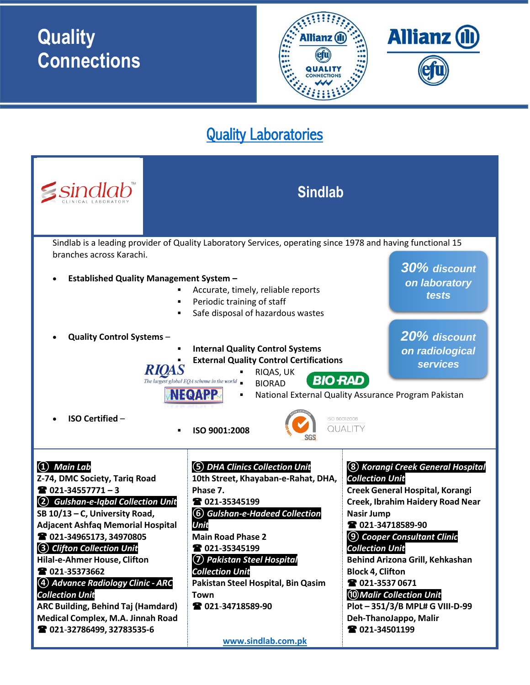

#### <span id="page-2-0"></span>Quality Laboratories

| <i>sindlab</i> *                                                                                                                                                                                                                                                                                                                                                                                                                                                                                                                                                                                                                                                                                                                                               | <b>Sindlab</b>                                                                                                                                                                                                                                                                                                                                  |                                                                                                                                                                                                                                                                                                                                                                                                                                       |  |  |
|----------------------------------------------------------------------------------------------------------------------------------------------------------------------------------------------------------------------------------------------------------------------------------------------------------------------------------------------------------------------------------------------------------------------------------------------------------------------------------------------------------------------------------------------------------------------------------------------------------------------------------------------------------------------------------------------------------------------------------------------------------------|-------------------------------------------------------------------------------------------------------------------------------------------------------------------------------------------------------------------------------------------------------------------------------------------------------------------------------------------------|---------------------------------------------------------------------------------------------------------------------------------------------------------------------------------------------------------------------------------------------------------------------------------------------------------------------------------------------------------------------------------------------------------------------------------------|--|--|
| Sindlab is a leading provider of Quality Laboratory Services, operating since 1978 and having functional 15<br>branches across Karachi.<br>30% discount<br><b>Established Quality Management System -</b><br>$\bullet$<br>on laboratory<br>Accurate, timely, reliable reports<br>٠<br>tests<br>Periodic training of staff<br>$\blacksquare$<br>Safe disposal of hazardous wastes<br>$\blacksquare$<br>20% discount<br><b>Quality Control Systems -</b><br><b>Internal Quality Control Systems</b><br>on radiological<br><b>External Quality Control Certifications</b><br><b>services</b><br>RIQAS, UK<br><b>BIO RAD</b><br>The largest global EQA scheme in the world<br><b>BIORAD</b><br>NECAPP<br>National External Quality Assurance Program Pakistan<br>٠ |                                                                                                                                                                                                                                                                                                                                                 |                                                                                                                                                                                                                                                                                                                                                                                                                                       |  |  |
| <b>ISO Certified -</b><br>ISO 90012008<br>QUALITY<br>ISO 9001:2008<br>٠                                                                                                                                                                                                                                                                                                                                                                                                                                                                                                                                                                                                                                                                                        |                                                                                                                                                                                                                                                                                                                                                 |                                                                                                                                                                                                                                                                                                                                                                                                                                       |  |  |
| $(1)$ Main Lab<br>Z-74, DMC Society, Tariq Road<br><b>2</b> 021-34557771 - 3<br><b>Gulshan-e-Iqbal Collection Unit</b><br>SB 10/13 - C, University Road,<br><b>Adjacent Ashfaq Memorial Hospital</b><br>2 021-34965173, 34970805<br>3 Clifton Collection Unit<br>Hilal-e-Ahmer House, Clifton<br>2 021-35373662<br>(4) Advance Radiology Clinic - ARC<br><b>Collection Unit</b><br><b>ARC Building, Behind Taj (Hamdard)</b><br>Medical Complex, M.A. Jinnah Road<br>2 021-32786499, 32783535-6                                                                                                                                                                                                                                                                | (5) DHA Clinics Collection Unit<br>10th Street, Khayaban-e-Rahat, DHA,<br>Phase 7.<br>■ 021-35345199<br>(6) Gulshan-e-Hadeed Collection<br>Unit<br><b>Main Road Phase 2</b><br>■ 021-35345199<br>(7) Pakistan Steel Hospital<br><b>Collection Unit</b><br>Pakistan Steel Hospital, Bin Qasim<br>Town<br>2 021-34718589-90<br>www.sindlab.com.pk | <b>8</b> Korangi Creek General Hospital<br><b>Collection Unit</b><br><b>Creek General Hospital, Korangi</b><br>Creek, Ibrahim Haidery Road Near<br>Nasir Jump<br>☎ 021-34718589-90<br>(9) Cooper Consultant Clinic<br><b>Collection Unit</b><br>Behind Arizona Grill, Kehkashan<br><b>Block 4, Clifton</b><br>2 021-3537 0671<br>10 Malir Collection Unit<br>Plot-351/3/B MPL# G VIII-D-99<br>Deh-ThanoJappo, Malir<br>2 021-34501199 |  |  |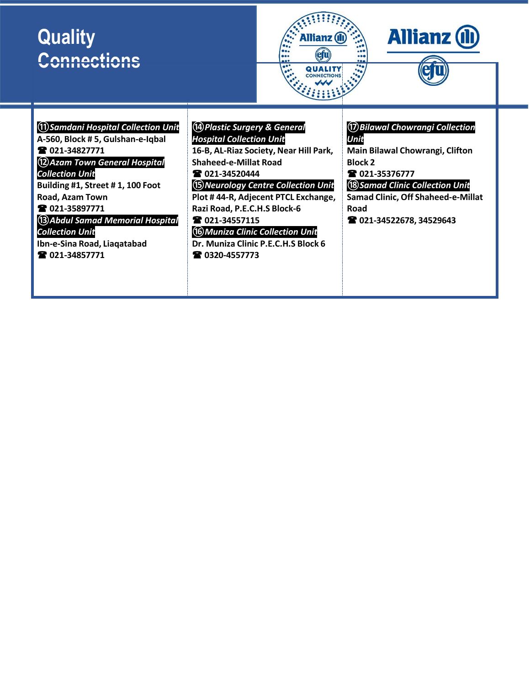



étu